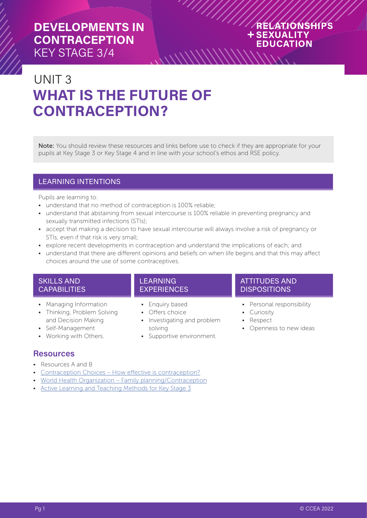### RELATIONSHIPS **+SEXUALITY EDUCATION**

# UNIT 3 **WHAT IS THE FUTURE OF CONTRACEPTION?**

Note: You should review these resources and links before use to check if they are appropriate for your pupils at Key Stage 3 or Key Stage 4 and in line with your school's ethos and RSE policy.

 $\frac{1}{2}$ 

### LEARNING INTENTIONS

Pupils are learning to:

- understand that no method of contraception is 100% reliable;
- understand that abstaining from sexual intercourse is 100% reliable in preventing pregnancy and sexually transmitted infections (STIs);
- accept that making a decision to have sexual intercourse will always involve a risk of pregnancy or STIs, even if that risk is very small;
- explore recent developments in contraception and understand the implications of each; and
- understand that there are different opinions and beliefs on when life begins and that this may affect choices around the use of some contraceptives.

#### SKILLS AND CAPABILITIES

- Managing Information
- Thinking, Problem Solving and Decision Making
- Self-Management
- Working with Others.

### **LEARNING EXPERIENCES**

- Enquiry based
- Offers choice
- Investigating and problem solving
- Supportive environment.

#### ATTITUDES AND **DISPOSITIONS**

- Personal responsibility
- Curiosity
- Respect
- Openness to new ideas

### **Resources**

- Resources A and B
- [Contraception Choices How effective is contraception?](https://www.contraceptionchoices.org/infographic)
- [World Health Organization Family planning/Contraception](https://www.who.int/news-room/fact-sheets/detail/family-planning-contraception)
- [Active Learning and Teaching Methods for Key Stage 3](https://ccea.org.uk/document/1111)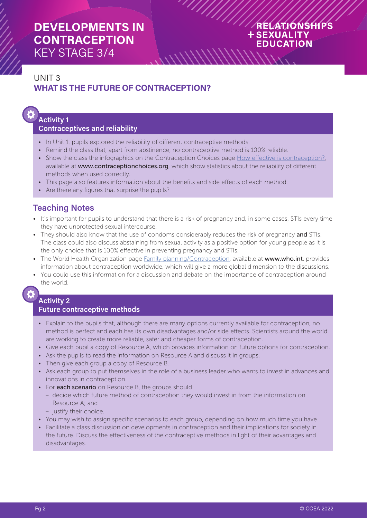### RELATIONSHIPS **+SEXUALITY EDUCATION**

# UNIT 3 **WHAT IS THE FUTURE OF CONTRACEPTION?**

# **Activity 1**

### **Contraceptives and reliability**

- In Unit 1, pupils explored the reliability of different contraceptive methods.
- Remind the class that, apart from abstinence, no contraceptive method is 100% reliable.
- Show the class the infographics on the Contraception Choices page [How effective is contraception?](https://www.contraceptionchoices.org/infographic), available at www.contraceptionchoices.org, which show statistics about the reliability of different methods when used correctly.

 $\frac{1}{\sqrt{2}}$ 

- This page also features information about the benefits and side effects of each method.
- Are there any figures that surprise the pupils?

### **Teaching Notes**

- It's important for pupils to understand that there is a risk of pregnancy and, in some cases, STIs every time they have unprotected sexual intercourse.
- They should also know that the use of condoms considerably reduces the risk of pregnancy and STIs. The class could also discuss abstaining from sexual activity as a positive option for young people as it is the only choice that is 100% effective in preventing pregnancy and STIs.
- The World Health Organization page [Family planning/Contraception](https://www.who.int/news-room/fact-sheets/detail/family-planning-contraception), available at www.who.int, provides information about contraception worldwide, which will give a more global dimension to the discussions.
- You could use this information for a discussion and debate on the importance of contraception around the world.

#### **Activity 2 Future contraceptive methods**

- Explain to the pupils that, although there are many options currently available for contraception, no method is perfect and each has its own disadvantages and/or side effects. Scientists around the world are working to create more reliable, safer and cheaper forms of contraception.
- Give each pupil a copy of Resource A, which provides information on future options for contraception.
- Ask the pupils to read the information on Resource A and discuss it in groups.
- Then give each group a copy of Resource B.
- Ask each group to put themselves in the role of a business leader who wants to invest in advances and innovations in contraception.
- For each scenario on Resource B, the groups should:
	- decide which future method of contraception they would invest in from the information on Resource A; and
	- justify their choice.
- You may wish to assign specific scenarios to each group, depending on how much time you have.
- Facilitate a class discussion on developments in contraception and their implications for society in the future. Discuss the effectiveness of the contraceptive methods in light of their advantages and disadvantages.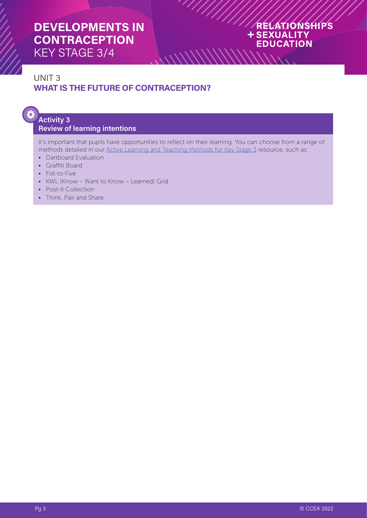### RELATIONSHIPS **+SEXUALITY EDUCATION \\\\\\\\\**\\

# UNIT 3 **WHAT IS THE FUTURE OF CONTRACEPTION?**

# ð

### **Activity 3 Review of learning intentions**

It's important that pupils have opportunities to reflect on their learning. You can choose from a range of methods detailed in our [Active Learning and Teaching Methods for Key Stage 3](https://ccea.org.uk/document/1111) resource, such as:

 $\frac{1}{2}$ 

 $\frac{1}{2}$ 

- Dartboard Evaluation
- Graffiti Board
- Fist-to-Five
- KWL (Know Want to Know Learned) Grid
- Post-It Collection
- Think, Pair and Share.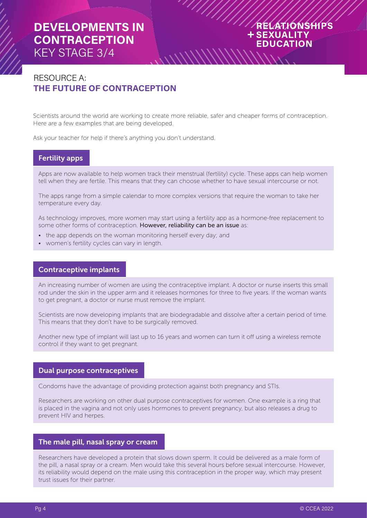### RELATIONSHIPS + SEXUALITY **EDUCATION**

### RESOURCE A: **THE FUTURE OF CONTRACEPTION**

Scientists around the world are working to create more reliable, safer and cheaper forms of contraception. Here are a few examples that are being developed.

 $\frac{1}{2}$ 

Ask your teacher for help if there's anything you don't understand.

### Fertility apps

Apps are now available to help women track their menstrual (fertility) cycle. These apps can help women tell when they are fertile. This means that they can choose whether to have sexual intercourse or not.

The apps range from a simple calendar to more complex versions that require the woman to take her temperature every day.

As technology improves, more women may start using a fertility app as a hormone-free replacement to some other forms of contraception. However, reliability can be an issue as:

- the app depends on the woman monitoring herself every day; and
- women's fertility cycles can vary in length.

#### Contraceptive implants

An increasing number of women are using the contraceptive implant. A doctor or nurse inserts this small rod under the skin in the upper arm and it releases hormones for three to five years. If the woman wants to get pregnant, a doctor or nurse must remove the implant.

Scientists are now developing implants that are biodegradable and dissolve after a certain period of time. This means that they don't have to be surgically removed.

Another new type of implant will last up to 16 years and women can turn it off using a wireless remote control if they want to get pregnant.

#### Dual purpose contraceptives

Condoms have the advantage of providing protection against both pregnancy and STIs.

Researchers are working on other dual purpose contraceptives for women. One example is a ring that is placed in the vagina and not only uses hormones to prevent pregnancy, but also releases a drug to prevent HIV and herpes.

#### The male pill, nasal spray or cream

Researchers have developed a protein that slows down sperm. It could be delivered as a male form of the pill, a nasal spray or a cream. Men would take this several hours before sexual intercourse. However, its reliability would depend on the male using this contraception in the proper way, which may present trust issues for their partner.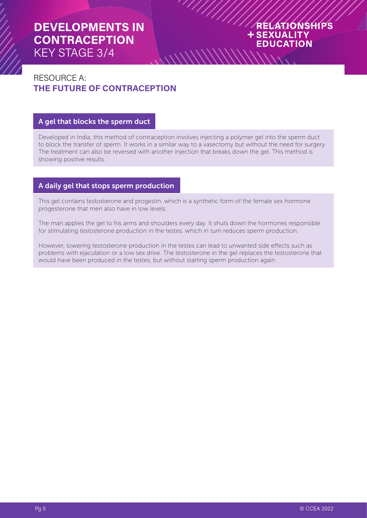### RELATIONSHIPS **+SEXUALITY EDUCATION**

## RESOURCE A: **THE FUTURE OF CONTRACEPTION**

#### A gel that blocks the sperm duct

Developed in India, this method of contraception involves injecting a polymer gel into the sperm duct to block the transfer of sperm. It works in a similar way to a vasectomy but without the need for surgery. The treatment can also be reversed with another injection that breaks down the gel. This method is showing positive results.

 $\frac{1}{2}$ 

#### A daily gel that stops sperm production

This gel contains testosterone and progestin, which is a synthetic form of the female sex hormone progesterone that men also have in low levels.

The man applies the gel to his arms and shoulders every day. It shuts down the hormones responsible for stimulating testosterone production in the testes, which in turn reduces sperm production.

However, lowering testosterone production in the testes can lead to unwanted side effects such as problems with ejaculation or a low sex drive. The testosterone in the gel replaces the testosterone that would have been produced in the testes, but without starting sperm production again.